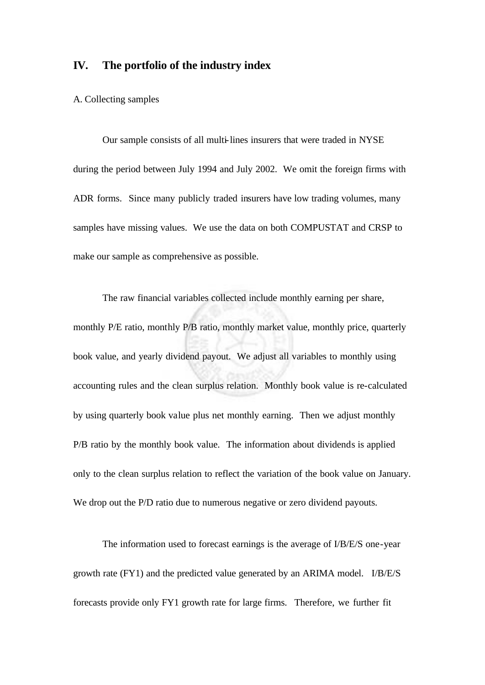# **IV. The portfolio of the industry index**

#### A. Collecting samples

Our sample consists of all multi-lines insurers that were traded in NYSE during the period between July 1994 and July 2002. We omit the foreign firms with ADR forms. Since many publicly traded insurers have low trading volumes, many samples have missing values. We use the data on both COMPUSTAT and CRSP to make our sample as comprehensive as possible.

The raw financial variables collected include monthly earning per share, monthly P/E ratio, monthly P/B ratio, monthly market value, monthly price, quarterly book value, and yearly dividend payout. We adjust all variables to monthly using accounting rules and the clean surplus relation. Monthly book value is re-calculated by using quarterly book value plus net monthly earning. Then we adjust monthly P/B ratio by the monthly book value. The information about dividends is applied only to the clean surplus relation to reflect the variation of the book value on January. We drop out the P/D ratio due to numerous negative or zero dividend payouts.

The information used to forecast earnings is the average of I/B/E/S one-year growth rate (FY1) and the predicted value generated by an ARIMA model. I/B/E/S forecasts provide only FY1 growth rate for large firms. Therefore, we further fit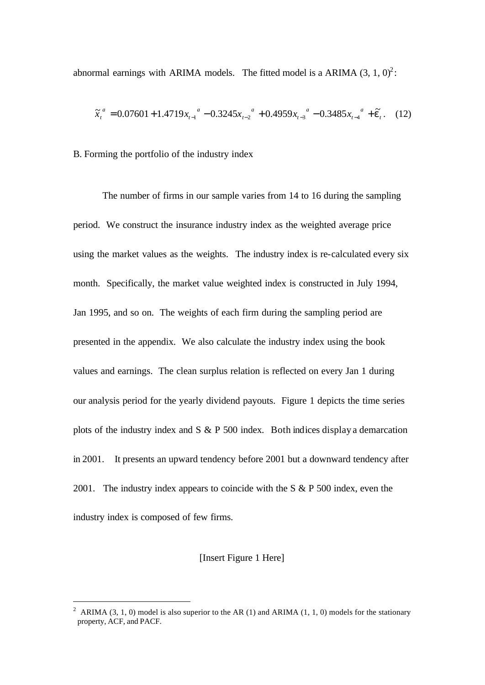abnormal earnings with ARIMA models. The fitted model is a ARIMA  $(3, 1, 0)^2$ :

$$
\widetilde{x}_{t}^{a} = 0.07601 + 1.4719x_{t-1}^{a} - 0.3245x_{t-2}^{a} + 0.4959x_{t-3}^{a} - 0.3485x_{t-4}^{a} + \widetilde{e}_{t}.
$$
 (12)

B. Forming the portfolio of the industry index

The number of firms in our sample varies from 14 to 16 during the sampling period. We construct the insurance industry index as the weighted average price using the market values as the weights. The industry index is re-calculated every six month. Specifically, the market value weighted index is constructed in July 1994, Jan 1995, and so on. The weights of each firm during the sampling period are presented in the appendix. We also calculate the industry index using the book values and earnings. The clean surplus relation is reflected on every Jan 1 during our analysis period for the yearly dividend payouts. Figure 1 depicts the time series plots of the industry index and S & P 500 index. Both indices display a demarcation in 2001. It presents an upward tendency before 2001 but a downward tendency after 2001. The industry index appears to coincide with the S & P 500 index, even the industry index is composed of few firms.

### [Insert Figure 1 Here]

l

<sup>&</sup>lt;sup>2</sup> ARIMA (3, 1, 0) model is also superior to the AR (1) and ARIMA (1, 1, 0) models for the stationary property, ACF, and PACF.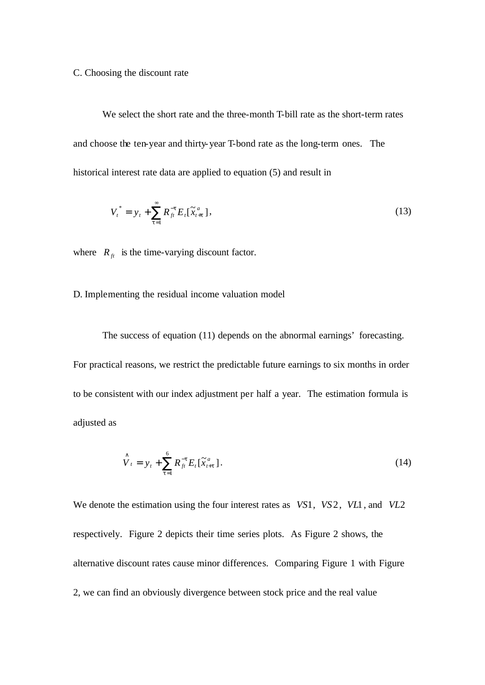#### C. Choosing the discount rate

We select the short rate and the three-month T-bill rate as the short-term rates and choose the ten-year and thirty-year T-bond rate as the long-term ones. The historical interest rate data are applied to equation (5) and result in

$$
V_t^* = y_t + \sum_{t=1}^{\infty} R_{ft}^{-t} E_t[\tilde{x}_{t+t}^a], \qquad (13)
$$

where  $R<sub>f</sub>$  is the time-varying discount factor.

## D. Implementing the residual income valuation model

The success of equation (11) depends on the abnormal earnings' forecasting. For practical reasons, we restrict the predictable future earnings to six months in order to be consistent with our index adjustment per half a year. The estimation formula is adjusted as

$$
\hat{V}_t = y_t + \sum_{t=1}^6 R_{ft}^{-t} E_t [\tilde{x}_{t+t}^a]. \tag{14}
$$

We denote the estimation using the four interest rates as *VS*1, *VS*2, *VL*1, and *VL*2 respectively. Figure 2 depicts their time series plots. As Figure 2 shows, the alternative discount rates cause minor differences. Comparing Figure 1 with Figure 2, we can find an obviously divergence between stock price and the real value